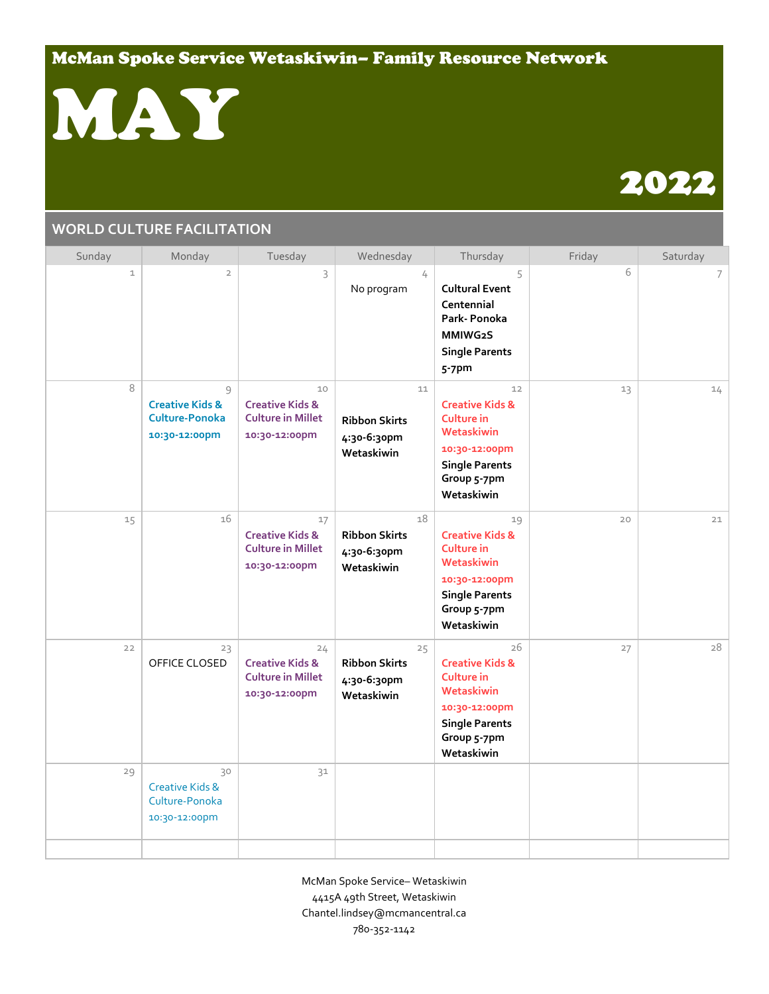## McMan Spoke Service Wetaskiwin– Family Resource Network



# 2022

#### **WORLD CULTURE FACILITATION**

| Sunday       | Monday                                                                    | Tuesday                                                                       | Wednesday                                               | Thursday                                                                                                                                   | Friday | Saturday |
|--------------|---------------------------------------------------------------------------|-------------------------------------------------------------------------------|---------------------------------------------------------|--------------------------------------------------------------------------------------------------------------------------------------------|--------|----------|
| $\mathbf{1}$ | $\overline{2}$                                                            | 3                                                                             | 4<br>No program                                         | 5<br><b>Cultural Event</b><br>Centennial<br>Park-Ponoka<br>MMIWG2S<br><b>Single Parents</b><br>5-7pm                                       | 6      | 7        |
| 8            | 9<br><b>Creative Kids &amp;</b><br><b>Culture-Ponoka</b><br>10:30-12:00pm | 10<br><b>Creative Kids &amp;</b><br><b>Culture in Millet</b><br>10:30-12:00pm | 11<br><b>Ribbon Skirts</b><br>4:30-6:30pm<br>Wetaskiwin | 12<br><b>Creative Kids &amp;</b><br>Culture in<br>Wetaskiwin<br>10:30-12:00pm<br><b>Single Parents</b><br>Group 5-7pm<br>Wetaskiwin        | 13     | 14       |
| 15           | 16                                                                        | 17<br><b>Creative Kids &amp;</b><br><b>Culture in Millet</b><br>10:30-12:00pm | 18<br><b>Ribbon Skirts</b><br>4:30-6:30pm<br>Wetaskiwin | 19<br><b>Creative Kids &amp;</b><br>Culture in<br>Wetaskiwin<br>10:30-12:00pm<br><b>Single Parents</b><br>Group 5-7pm<br>Wetaskiwin        | 20     | 21       |
| 22           | 23<br>OFFICE CLOSED                                                       | 24<br><b>Creative Kids &amp;</b><br><b>Culture in Millet</b><br>10:30-12:00pm | 25<br><b>Ribbon Skirts</b><br>4:30-6:30pm<br>Wetaskiwin | 26<br><b>Creative Kids &amp;</b><br><b>Culture in</b><br>Wetaskiwin<br>10:30-12:00pm<br><b>Single Parents</b><br>Group 5-7pm<br>Wetaskiwin | 27     | 28       |
| 29           | 30<br>Creative Kids &<br>Culture-Ponoka<br>10:30-12:00pm                  | 31                                                                            |                                                         |                                                                                                                                            |        |          |
|              |                                                                           |                                                                               |                                                         |                                                                                                                                            |        |          |

McMan Spoke Service– Wetaskiwin 4415A 49th Street, Wetaskiwin Chantel.lindsey@mcmancentral.ca 780-352-1142